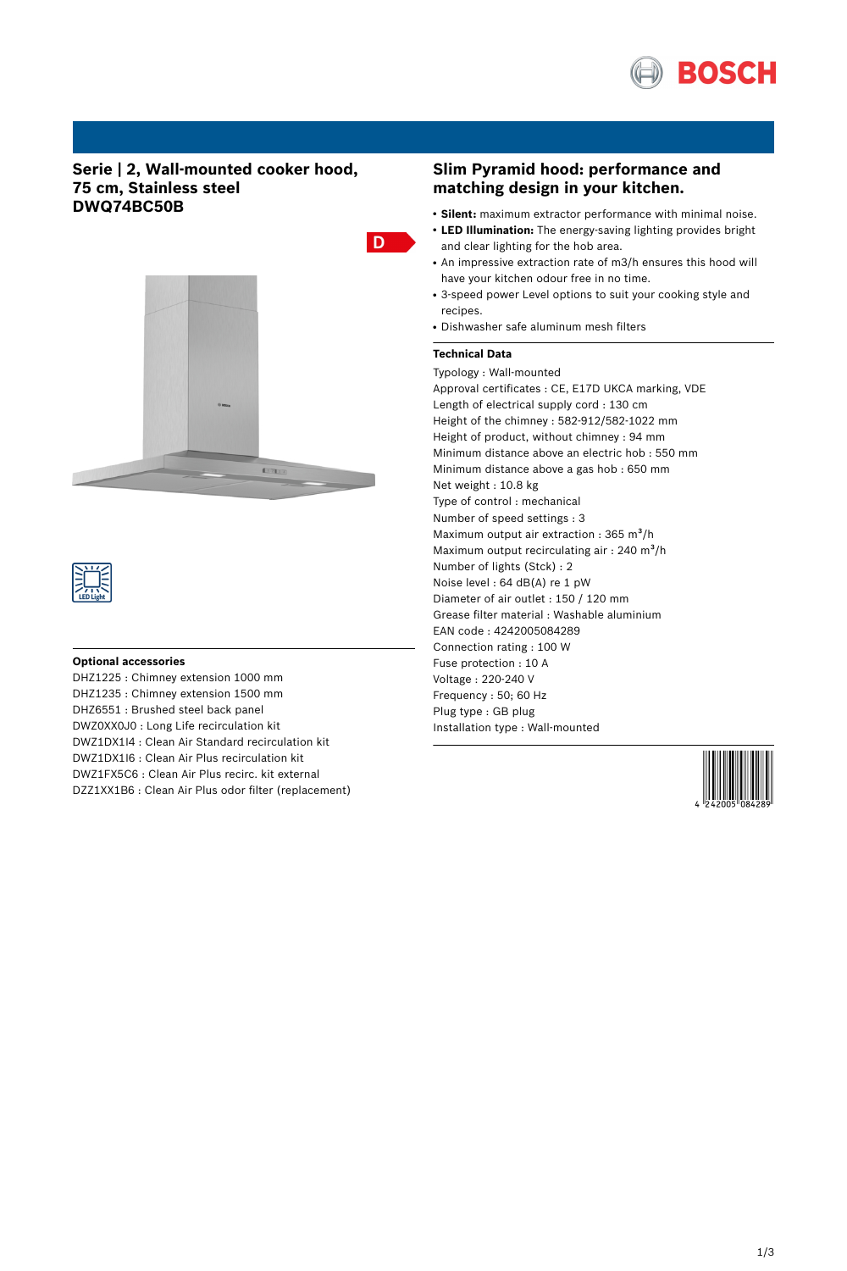

# **Serie | 2, Wall-mounted cooker hood, 75 cm, Stainless steel DWQ74BC50B**





### **Optional accessories**

DHZ1225 : Chimney extension 1000 mm DHZ1235 : Chimney extension 1500 mm DHZ6551 : Brushed steel back panel DWZ0XX0J0 : Long Life recirculation kit DWZ1DX1I4 : Clean Air Standard recirculation kit DWZ1DX1I6 : Clean Air Plus recirculation kit DWZ1FX5C6 : Clean Air Plus recirc. kit external DZZ1XX1B6 : Clean Air Plus odor filter (replacement)

# **Slim Pyramid hood: performance and matching design in your kitchen.**

- **Silent:** maximum extractor performance with minimal noise.
- LED Illumination: The energy-saving lighting provides bright and clear lighting for the hob area.
- An impressive extraction rate of m3/h ensures this hood will have your kitchen odour free in no time.
- 3-speed power Level options to suit your cooking style and recipes.
- Dishwasher safe aluminum mesh filters

## **Technical Data**

Typology : Wall-mounted Approval certificates : CE, E17D UKCA marking, VDE Length of electrical supply cord : 130 cm Height of the chimney : 582-912/582-1022 mm Height of product, without chimney : 94 mm Minimum distance above an electric hob : 550 mm Minimum distance above a gas hob : 650 mm Net weight : 10.8 kg Type of control : mechanical Number of speed settings : 3 Maximum output air extraction :  $365 \text{ m}^3\text{/h}$ Maximum output recirculating air : 240 m<sup>3</sup>/h Number of lights (Stck) : 2 Noise level : 64 dB(A) re 1 pW Diameter of air outlet : 150 / 120 mm Grease filter material : Washable aluminium EAN code : 4242005084289 Connection rating : 100 W Fuse protection : 10 A Voltage : 220-240 V Frequency : 50; 60 Hz Plug type : GB plug Installation type : Wall-mounted

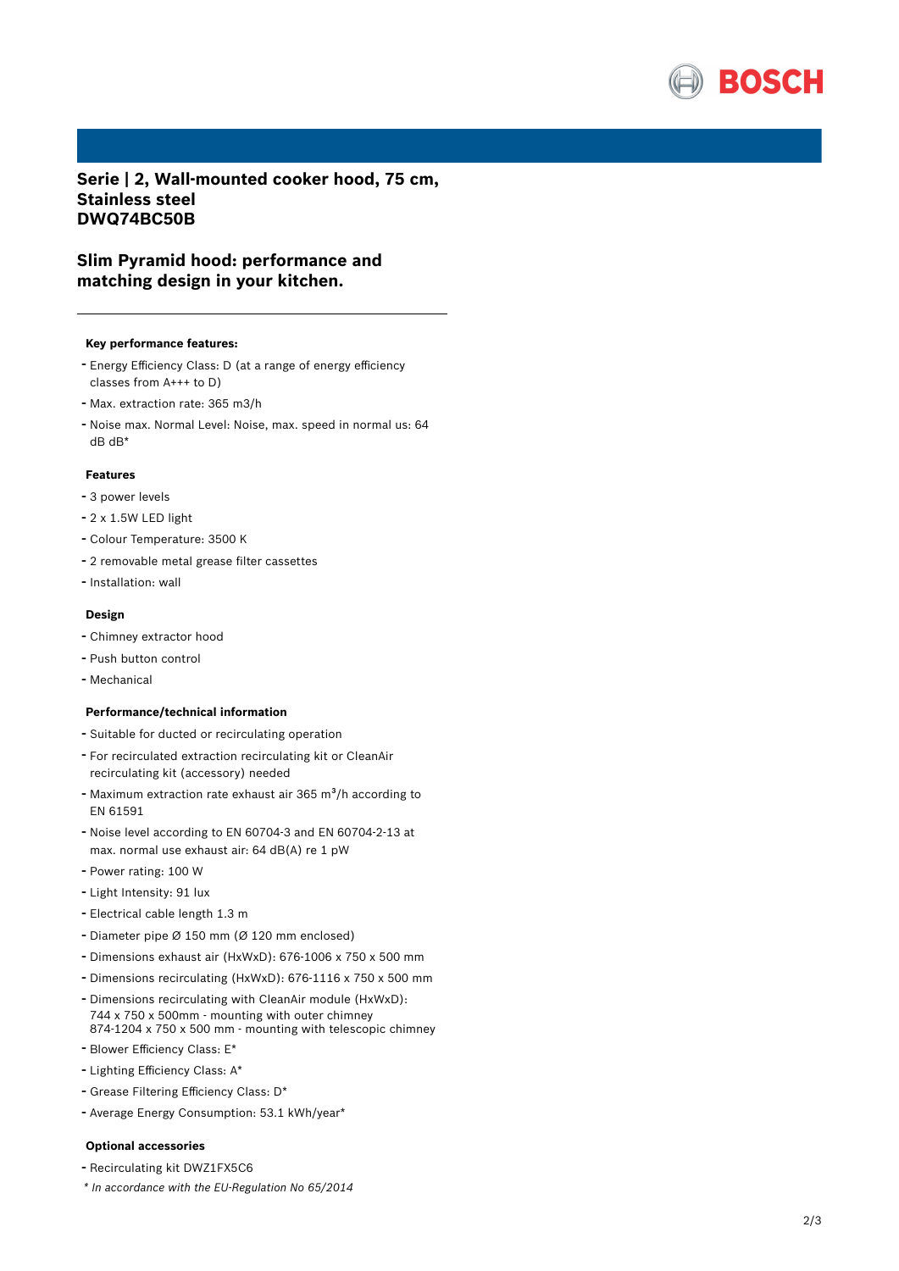

**Serie | 2, Wall-mounted cooker hood, 75 cm, Stainless steel DWQ74BC50B**

# **Slim Pyramid hood: performance and matching design in your kitchen.**

#### **Key performance features:**

- Energy Efficiency Class: <sup>D</sup> (at <sup>a</sup> range of energy efficiency classes from A+++ to D)
- Max. extraction rate: <sup>365</sup> m3/h
- Noise max. Normal Level: Noise, max. speed in normal us: <sup>64</sup> dB dB\*

## **Features**

- <sup>3</sup> power levels
- 2 x 1.5W LED light
- Colour Temperature: <sup>3500</sup> <sup>K</sup>
- <sup>2</sup> removable metal grease filter cassettes
- Installation: wall

#### **Design**

- Chimney extractor hood
- Push button control
- Mechanical

#### **Performance/technical information**

- Suitable for ducted or recirculating operation
- For recirculated extraction recirculating kit or CleanAir recirculating kit (accessory) needed
- Maximum extraction rate exhaust air 365 m $\frac{3}{h}$  according to EN 61591
- Noise level according to EN 60704-3 and EN 60704-2-13 at max. normal use exhaust air: 64 dB(A) re 1 pW
- Power rating: <sup>100</sup> <sup>W</sup>
- Light Intensity: <sup>91</sup> lux
- Electrical cable length 1.3 <sup>m</sup>
- Diameter pipe <sup>Ø</sup> <sup>150</sup> mm (Ø <sup>120</sup> mm enclosed)
- Dimensions exhaust air (HxWxD): 676-1006 <sup>x</sup> <sup>750</sup> <sup>x</sup> <sup>500</sup> mm
- Dimensions recirculating (HxWxD): 676-1116 <sup>x</sup> <sup>750</sup> <sup>x</sup> <sup>500</sup> mm
- Dimensions recirculating with CleanAir module (HxWxD): 744 x 750 x 500mm - mounting with outer chimney 874-1204 x 750 x 500 mm - mounting with telescopic chimney
- Blower Efficiency Class: E\*
- Lighting Efficiency Class: A\*
- Grease Filtering Efficiency Class: D\*
- Average Energy Consumption: 53.1 kWh/year\*

#### **Optional accessories**

- Recirculating kit DWZ1FX5C6
- *\* In accordance with the EU-Regulation No 65/2014*